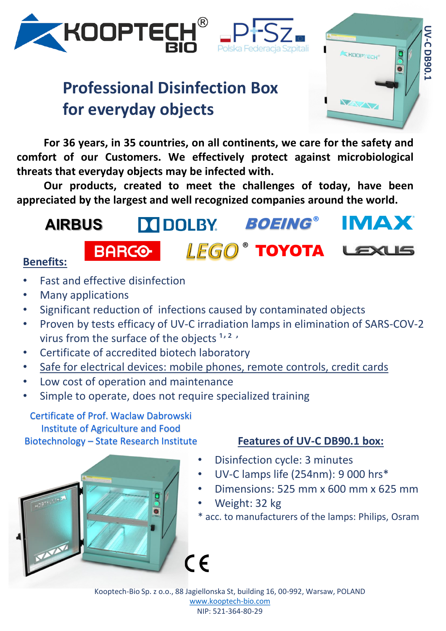

# **Professional Disinfection Box for everyday objects**

**For 36 years, in 35 countries, on all continents, we care for the safety and comfort of our Customers. We effectively protect against microbiological threats that everyday objects may be infected with.**

Polska Federacia Szpitali

**Our products, created to meet the challenges of today, have been appreciated by the largest and well recognized companies around the world.**

#### IMAX<sup>®</sup> **BOEING® AIRBUS DEDOLBY** ® TOYOTA **BARCO Benefits:**

- Fast and effective disinfection
- Many applications
- Significant reduction of infections caused by contaminated objects
- Proven by tests efficacy of UV-C irradiation lamps in elimination of SARS-COV-2 virus from the surface of the objects  $1, 2, \cdot$
- Certificate of accredited biotech laboratory
- Safe for electrical devices: mobile phones, remote controls, credit cards
- Low cost of operation and maintenance
- Simple to operate, does not require specialized training

#### Certificate of Prof. Waclaw Dabrowski Institute of Agriculture and Food Biotechnology – State Research Institute



#### **Features of UV-C DB90.1 box:**

**UV-C DB90.1**

KOOPTECH

UV-C DB90.

- Disinfection cycle: 3 minutes
- UV-C lamps life (254nm): 9 000 hrs\*
- Dimensions: 525 mm x 600 mm x 625 mm
- Weight: 32 kg
- \* acc. to manufacturers of the lamps: Philips, Osram

Kooptech-Bio Sp. z o.o., 88 Jagiellonska St, building 16, 00-992, Warsaw, POLAND [www.kooptech-bio.com](http://www.kooptech-cinema.com/) NIP: 521-364-80-29